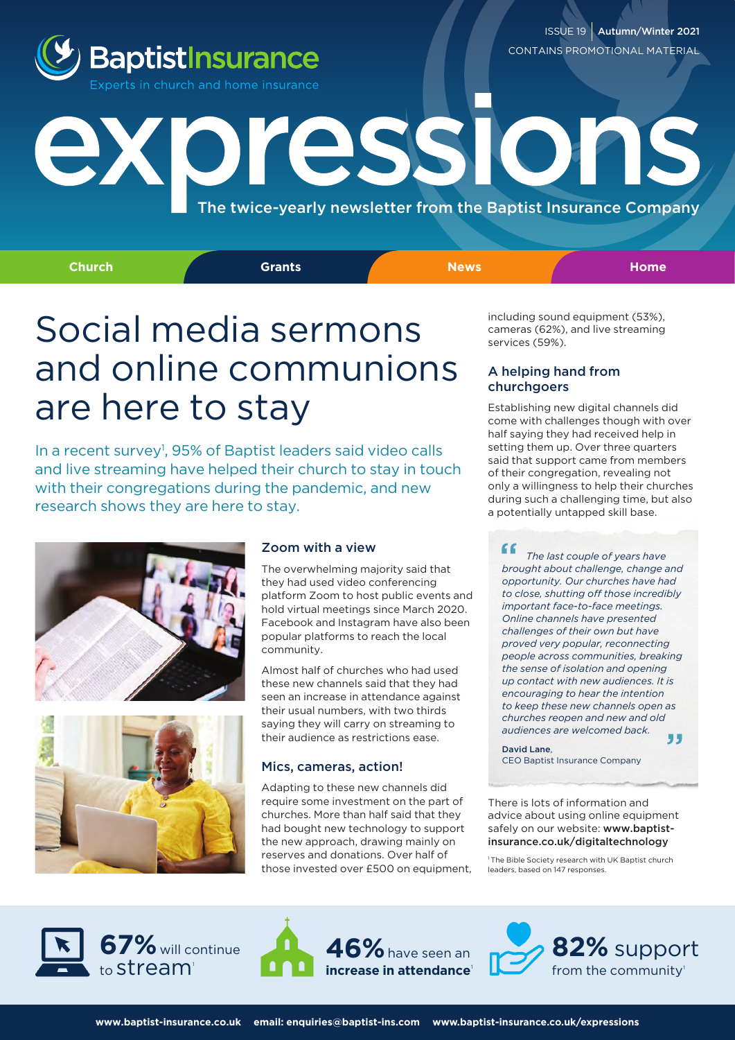

ISSUE 19 | Autumn/Winter 2021 CONTAINS PROMOTIONAL MATERIAL

## **Toressions** The twice-yearly newsletter from the Baptist Insurance Company

**Church Grants News Home**

## Social media sermons and online communions are here to stay

In a recent survey<sup>1</sup>, 95% of Baptist leaders said video calls and live streaming have helped their church to stay in touch with their congregations during the pandemic, and new research shows they are here to stay.





#### Zoom with a view

The overwhelming majority said that they had used video conferencing platform Zoom to host public events and hold virtual meetings since March 2020. Facebook and Instagram have also been popular platforms to reach the local community.

Almost half of churches who had used these new channels said that they had seen an increase in attendance against their usual numbers, with two thirds saying they will carry on streaming to their audience as restrictions ease.

#### Mics, cameras, action!

Adapting to these new channels did require some investment on the part of churches. More than half said that they had bought new technology to support the new approach, drawing mainly on reserves and donations. Over half of those invested over £500 on equipment, including sound equipment (53%), cameras (62%), and live streaming services (59%).

#### A helping hand from churchgoers

Establishing new digital channels did come with challenges though with over half saying they had received help in setting them up. Over three quarters said that support came from members of their congregation, revealing not only a willingness to help their churches during such a challenging time, but also a potentially untapped skill base.

 *The last couple of years have brought about challenge, change and opportunity. Our churches have had to close, shutting off those incredibly important face-to-face meetings. Online channels have presented challenges of their own but have proved very popular, reconnecting people across communities, breaking the sense of isolation and opening up contact with new audiences. It is encouraging to hear the intention to keep these new channels open as churches reopen and new and old audiences are welcomed back.* " "

#### David Lane,

CEO Baptist Insurance Company

There is lots of information and advice about using online equipment safely on our website: www.baptistinsurance.co.uk/digitaltechnology

1 The Bible Society research with UK Baptist church leaders, based on 147 responses.





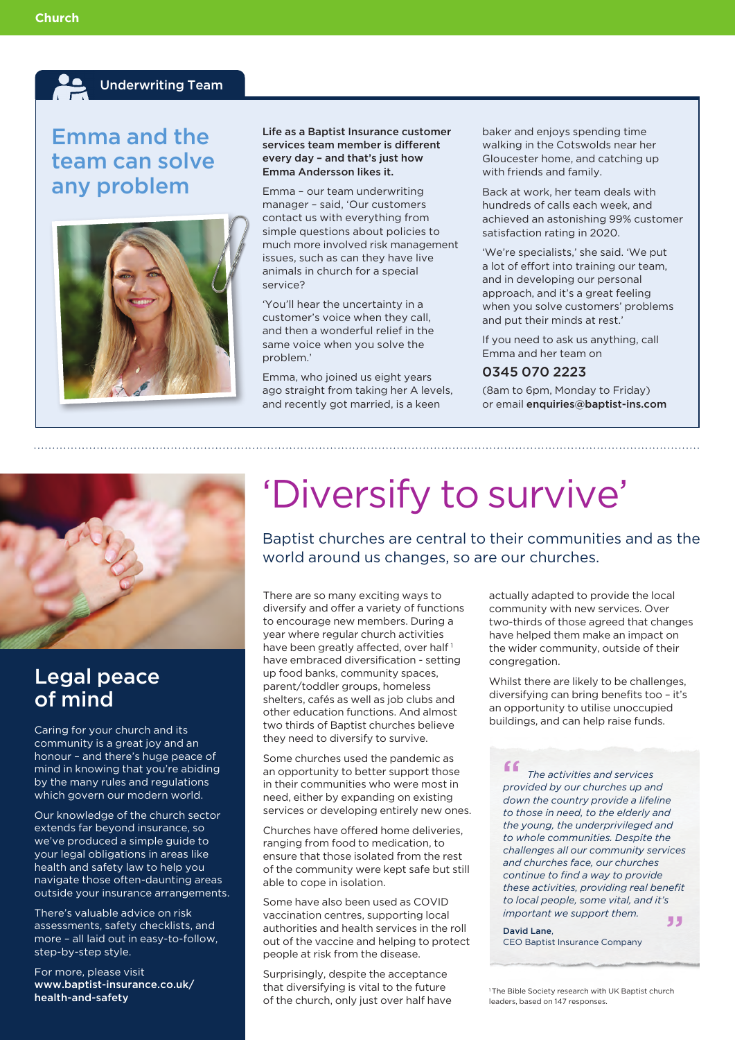#### Underwriting Team

### Emma and the team can solve any problem



#### Life as a Baptist Insurance customer services team member is different every day - and that's just how Emma Andersson likes it.

Emma – our team underwriting manager – said, 'Our customers contact us with everything from simple questions about policies to much more involved risk management issues, such as can they have live animals in church for a special service?

'You'll hear the uncertainty in a customer's voice when they call, and then a wonderful relief in the same voice when you solve the problem.'

Emma, who joined us eight years ago straight from taking her A levels, and recently got married, is a keen

baker and enjoys spending time walking in the Cotswolds near her Gloucester home, and catching up with friends and family.

Back at work, her team deals with hundreds of calls each week, and achieved an astonishing 99% customer satisfaction rating in 2020.

'We're specialists,' she said. 'We put a lot of effort into training our team, and in developing our personal approach, and it's a great feeling when you solve customers' problems and put their minds at rest.'

If you need to ask us anything, call Emma and her team on

#### 0345 070 2223

(8am to 6pm, Monday to Friday) or email enquiries@baptist-ins.com



### Legal peace of mind

Caring for your church and its community is a great joy and an honour – and there's huge peace of mind in knowing that you're abiding by the many rules and regulations which govern our modern world.

Our knowledge of the church sector extends far beyond insurance, so we've produced a simple guide to your legal obligations in areas like health and safety law to help you navigate those often-daunting areas outside your insurance arrangements.

There's valuable advice on risk assessments, safety checklists, and more – all laid out in easy-to-follow, step-by-step style.

For more, please visit [www.baptist-insurance.co.uk/](https://www.baptist-insurance.co.uk/health-and-safety) health-and-safety

# 'Diversify to survive' Baptist churches are central to their communities and as the

world around us changes, so are our churches.

There are so many exciting ways to diversify and offer a variety of functions to encourage new members. During a year where regular church activities have been greatly affected, over half<sup>1</sup> have embraced diversification - setting up food banks, community spaces, parent/toddler groups, homeless shelters, cafés as well as job clubs and other education functions. And almost two thirds of Baptist churches believe they need to diversify to survive.

Some churches used the pandemic as an opportunity to better support those in their communities who were most in need, either by expanding on existing services or developing entirely new ones.

Churches have offered home deliveries, ranging from food to medication, to ensure that those isolated from the rest of the community were kept safe but still able to cope in isolation.

Some have also been used as COVID vaccination centres, supporting local authorities and health services in the roll out of the vaccine and helping to protect people at risk from the disease.

Surprisingly, despite the acceptance that diversifying is vital to the future of the church, only just over half have actually adapted to provide the local community with new services. Over two-thirds of those agreed that changes have helped them make an impact on the wider community, outside of their congregation.

Whilst there are likely to be challenges, diversifying can bring benefits too – it's an opportunity to utilise unoccupied buildings, and can help raise funds.

 *The activities and services provided by our churches up and* " *down the country provide a lifeline to those in need, to the elderly and the young, the underprivileged and to whole communities. Despite the challenges all our community services and churches face, our churches continue to find a way to provide these activities, providing real benefit to local people, some vital, and it's important we support them.* "

David Lane, CEO Baptist Insurance Company

1 The Bible Society research with UK Baptist church leaders, based on 147 responses.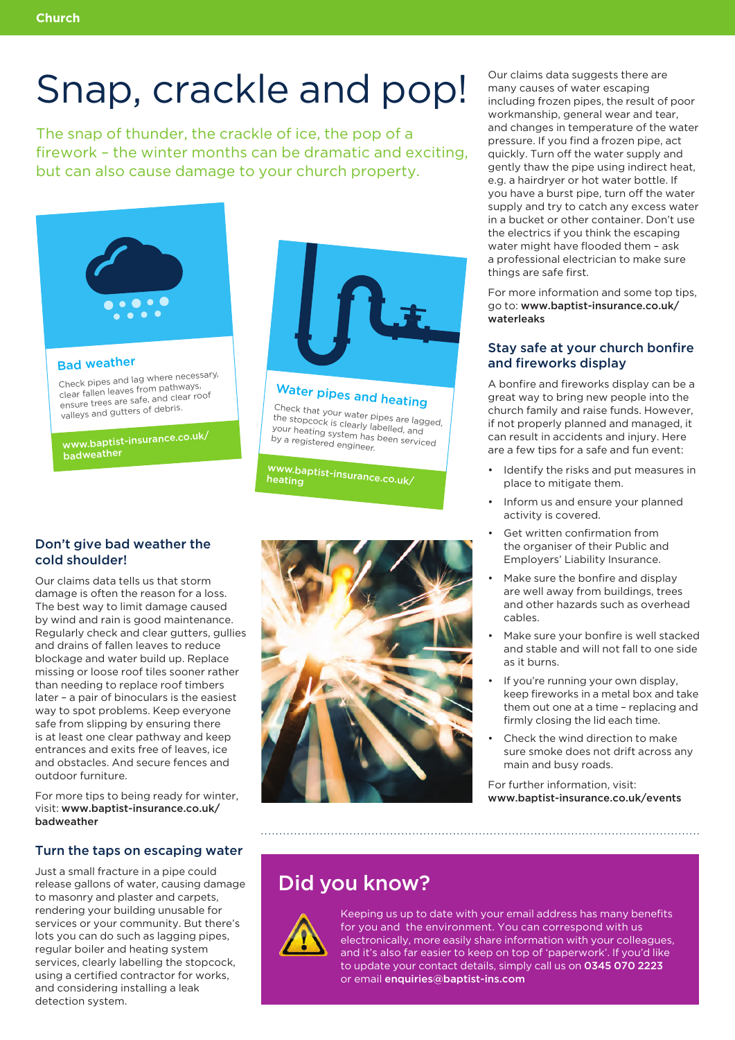## Snap, crackle and pop!

The snap of thunder, the crackle of ice, the pop of a firework – the winter months can be dramatic and exciting, but can also cause damage to your church property.



#### Bad weather

Check pipes and lag where necessary, Clear fallen leaves from pathways, ensure trees are safe, and clear roof valleys and gutters of debris.

www.baptist-insurance.co.uk/ hadweather



## Water pipes and heating

Check that your water pipes are lagged, the stopcock is clearly labelled, and was support to stratify mached, and your heating system has been serviced by a registered engineer.

[www.baptist-insurance.co.uk/](https://www.baptist-insurance.co.uk/heating) heating

#### Don't give bad weather the cold shoulder!

Our claims data tells us that storm damage is often the reason for a loss. The best way to limit damage caused by wind and rain is good maintenance. Regularly check and clear gutters, gullies and drains of fallen leaves to reduce blockage and water build up. Replace missing or loose roof tiles sooner rather than needing to replace roof timbers later – a pair of binoculars is the easiest way to spot problems. Keep everyone safe from slipping by ensuring there is at least one clear pathway and keep entrances and exits free of leaves, ice and obstacles. And secure fences and outdoor furniture.

For more tips to being ready for winter, visit: www.baptist-insurance.co.uk/ badweather

#### Turn the taps on escaping water

Just a small fracture in a pipe could release gallons of water, causing damage to masonry and plaster and carpets, rendering your building unusable for services or your community. But there's lots you can do such as lagging pipes, regular boiler and heating system services, clearly labelling the stopcock, using a certified contractor for works, and considering installing a leak detection system.



Our claims data suggests there are many causes of water escaping including frozen pipes, the result of poor workmanship, general wear and tear, and changes in temperature of the water pressure. If you find a frozen pipe, act quickly. Turn off the water supply and gently thaw the pipe using indirect heat, e.g. a hairdryer or hot water bottle. If you have a burst pipe, turn off the water supply and try to catch any excess water in a bucket or other container. Don't use the electrics if you think the escaping water might have flooded them – ask a professional electrician to make sure things are safe first.

For more information and some top tips, go to: www.baptist-insurance.co.uk/ waterleaks

#### Stay safe at your church bonfire and fireworks display

A bonfire and fireworks display can be a great way to bring new people into the church family and raise funds. However, if not properly planned and managed, it can result in accidents and injury. Here are a few tips for a safe and fun event:

- Identify the risks and put measures in place to mitigate them.
- Inform us and ensure your planned activity is covered.
- Get written confirmation from the organiser of their Public and Employers' Liability Insurance.
- Make sure the bonfire and display are well away from buildings, trees and other hazards such as overhead cables.
- Make sure your bonfire is well stacked and stable and will not fall to one side as it burns.
- If you're running your own display, keep fireworks in a metal box and take them out one at a time – replacing and firmly closing the lid each time.
- Check the wind direction to make sure smoke does not drift across any main and busy roads.

For further information, visit: www.baptist-insurance.co.uk/events

### Did you know?



Keeping us up to date with your email address has many benefits for you and the environment. You can correspond with us electronically, more easily share information with your colleagues, and it's also far easier to keep on top of 'paperwork'. If you'd like to update your contact details, simply call us on 0345 070 2223 or email [enquiries@baptist-ins.com](mailto:enquiries@baptist-ins.com)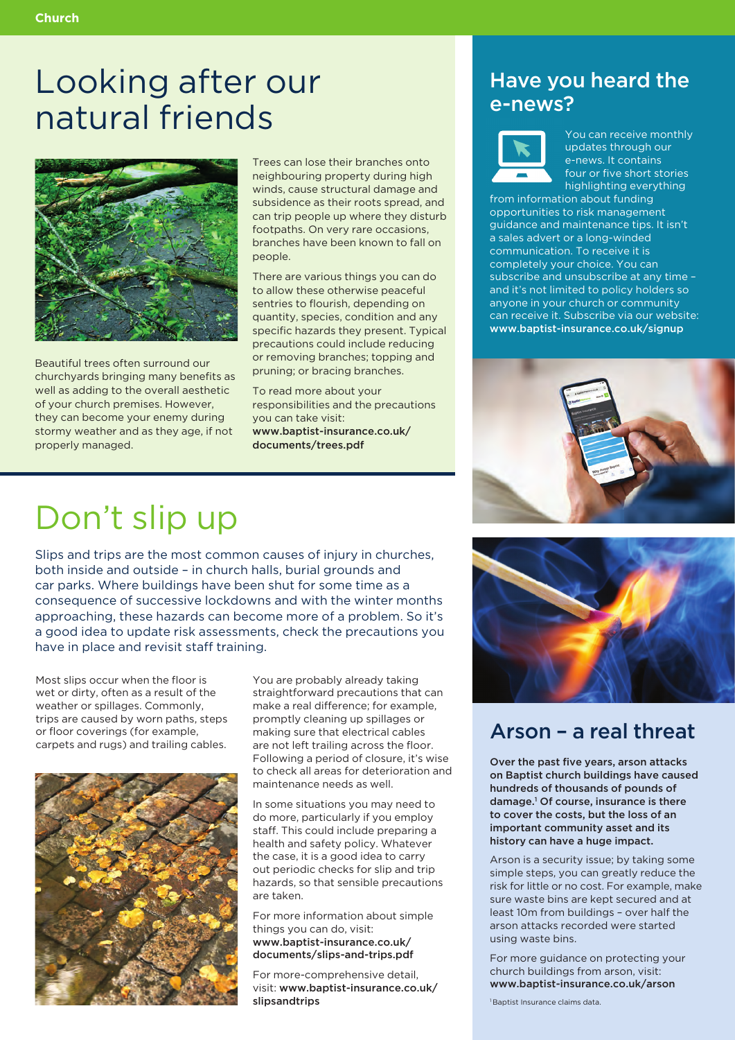## Looking after our natural friends



Beautiful trees often surround our churchyards bringing many benefits as well as adding to the overall aesthetic of your church premises. However, they can become your enemy during stormy weather and as they age, if not properly managed.

Trees can lose their branches onto neighbouring property during high winds, cause structural damage and subsidence as their roots spread, and can trip people up where they disturb footpaths. On very rare occasions, branches have been known to fall on people.

There are various things you can do to allow these otherwise peaceful sentries to flourish, depending on quantity, species, condition and any specific hazards they present. Typical precautions could include reducing or removing branches; topping and pruning; or bracing branches.

To read more about your responsibilities and the precautions you can take visit: www.baptist-insurance.co.uk/ documents/trees.pdf

### Have you heard the e-news?



You can receive monthly updates through our e-news. It contains four or five short stories highlighting everything

from information about funding opportunities to risk management guidance and maintenance tips. It isn't a sales advert or a long-winded communication. To receive it is completely your choice. You can subscribe and unsubscribe at any time – and it's not limited to policy holders so anyone in your church or community can receive it. Subscribe via our website: www.baptist-insurance.co.uk/signup



## Don't slip up

Slips and trips are the most common causes of injury in churches, both inside and outside – in church halls, burial grounds and car parks. Where buildings have been shut for some time as a consequence of successive lockdowns and with the winter months approaching, these hazards can become more of a problem. So it's a good idea to update risk assessments, check the precautions you have in place and revisit staff training.

Most slips occur when the floor is wet or dirty, often as a result of the weather or spillages. Commonly, trips are caused by worn paths, steps or floor coverings (for example, carpets and rugs) and trailing cables.



You are probably already taking straightforward precautions that can make a real difference; for example, promptly cleaning up spillages or making sure that electrical cables are not left trailing across the floor. Following a period of closure, it's wise to check all areas for deterioration and maintenance needs as well.

In some situations you may need to do more, particularly if you employ staff. This could include preparing a health and safety policy. Whatever the case, it is a good idea to carry out periodic checks for slip and trip hazards, so that sensible precautions are taken.

For more information about simple things you can do, visit: www.baptist-insurance.co.uk/ documents/slips-and-trips.pdf

For more-comprehensive detail, visit: www.baptist-insurance.co.uk/ slipsandtrips



### Arson – a real threat

Over the past five years, arson attacks on Baptist church buildings have caused hundreds of thousands of pounds of damage.1 Of course, insurance is there to cover the costs, but the loss of an important community asset and its history can have a huge impact.

Arson is a security issue; by taking some simple steps, you can greatly reduce the risk for little or no cost. For example, make sure waste bins are kept secured and at least 10m from buildings – over half the arson attacks recorded were started using waste bins.

For more guidance on protecting your church buildings from arson, visit: www.baptist-insurance.co.uk/arson

1 Baptist Insurance claims data.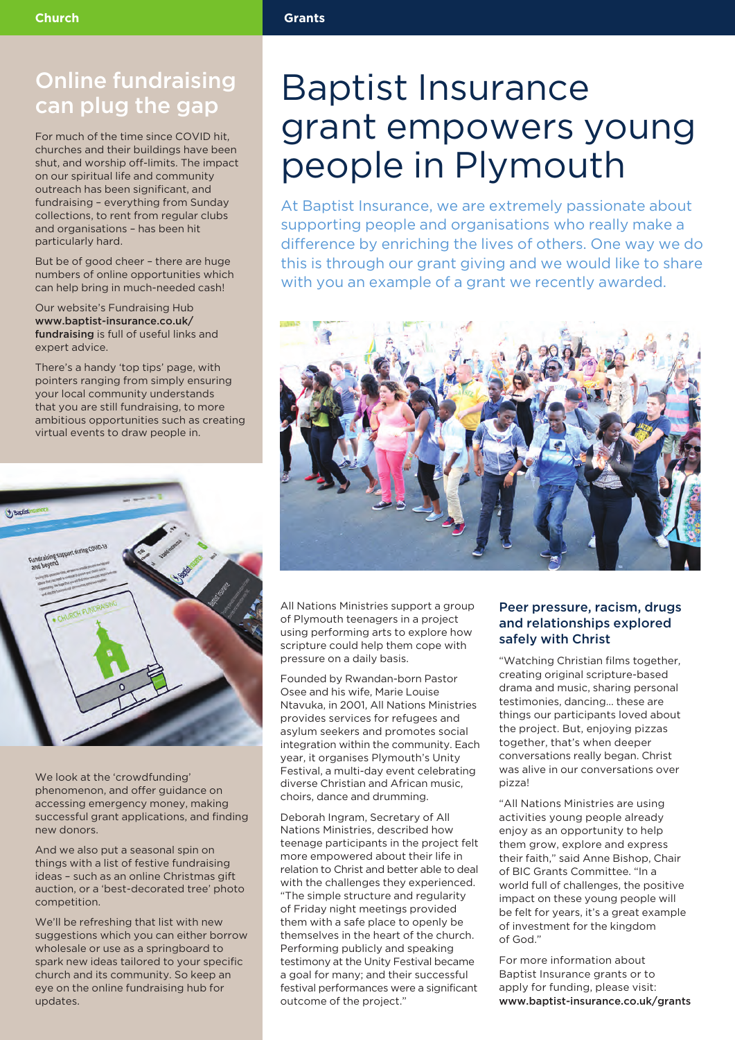### Online fundraising can plug the gap

For much of the time since COVID hit, churches and their buildings have been shut, and worship off-limits. The impact on our spiritual life and community outreach has been significant, and fundraising – everything from Sunday collections, to rent from regular clubs and organisations – has been hit particularly hard.

But be of good cheer – there are huge numbers of online opportunities which can help bring in much-needed cash!

Our website's Fundraising Hub www.baptist-insurance.co.uk/ fundraising is full of useful links and expert advice.

There's a handy 'top tips' page, with pointers ranging from simply ensuring your local community understands that you are still fundraising, to more ambitious opportunities such as creating virtual events to draw people in.



We look at the 'crowdfunding' phenomenon, and offer guidance on accessing emergency money, making successful grant applications, and finding new donors.

And we also put a seasonal spin on things with a list of festive fundraising ideas – such as an online Christmas gift auction, or a 'best-decorated tree' photo competition.

We'll be refreshing that list with new suggestions which you can either borrow wholesale or use as a springboard to spark new ideas tailored to your specific church and its community. So keep an eye on the online fundraising hub for updates.

## Baptist Insurance grant empowers young people in Plymouth

At Baptist Insurance, we are extremely passionate about supporting people and organisations who really make a difference by enriching the lives of others. One way we do this is through our grant giving and we would like to share with you an example of a grant we recently awarded.



All Nations Ministries support a group of Plymouth teenagers in a project using performing arts to explore how scripture could help them cope with pressure on a daily basis.

Founded by Rwandan-born Pastor Osee and his wife, Marie Louise Ntavuka, in 2001, All Nations Ministries provides services for refugees and asylum seekers and promotes social integration within the community. Each year, it organises Plymouth's Unity Festival, a multi-day event celebrating diverse Christian and African music, choirs, dance and drumming.

Deborah Ingram, Secretary of All Nations Ministries, described how teenage participants in the project felt more empowered about their life in relation to Christ and better able to deal with the challenges they experienced. "The simple structure and regularity of Friday night meetings provided them with a safe place to openly be themselves in the heart of the church. Performing publicly and speaking testimony at the Unity Festival became a goal for many; and their successful festival performances were a significant outcome of the project."

#### Peer pressure, racism, drugs and relationships explored safely with Christ

"Watching Christian films together, creating original scripture-based drama and music, sharing personal testimonies, dancing… these are things our participants loved about the project. But, enjoying pizzas together, that's when deeper conversations really began. Christ was alive in our conversations over pizza!

"All Nations Ministries are using activities young people already enjoy as an opportunity to help them grow, explore and express their faith," said Anne Bishop, Chair of BIC Grants Committee. "In a world full of challenges, the positive impact on these young people will be felt for years, it's a great example of investment for the kingdom of God."

For more information about Baptist Insurance grants or to apply for funding, please visit: www.baptist-insurance.co.uk/grants